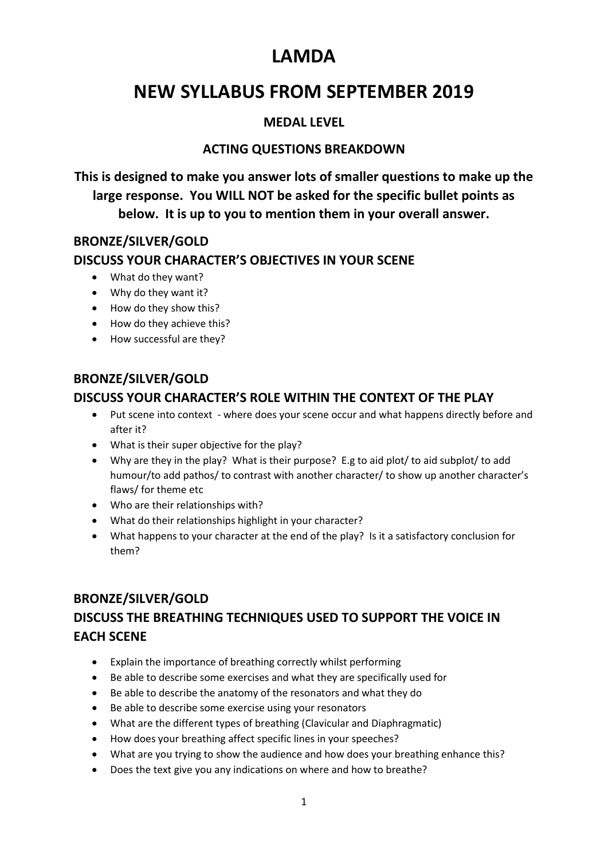# **LAMDA**

# **NEW SYLLABUS FROM SEPTEMBER 2019**

### **MEDAL LEVEL**

## **ACTING QUESTIONS BREAKDOWN**

**This is designed to make you answer lots of smaller questions to make up the large response. You WILL NOT be asked for the specific bullet points as below. It is up to you to mention them in your overall answer.**

#### **BRONZE/SILVER/GOLD DISCUSS YOUR CHARACTER'S OBJECTIVES IN YOUR SCENE**

- What do they want?
- Why do they want it?
- How do they show this?
- How do they achieve this?
- How successful are they?

#### **BRONZE/SILVER/GOLD**

### **DISCUSS YOUR CHARACTER'S ROLE WITHIN THE CONTEXT OF THE PLAY**

- Put scene into context where does your scene occur and what happens directly before and after it?
- What is their super objective for the play?
- Why are they in the play? What is their purpose? E.g to aid plot/ to aid subplot/ to add humour/to add pathos/ to contrast with another character/ to show up another character's flaws/ for theme etc
- Who are their relationships with?
- What do their relationships highlight in your character?
- What happens to your character at the end of the play? Is it a satisfactory conclusion for them?

## **BRONZE/SILVER/GOLD**

## **DISCUSS THE BREATHING TECHNIQUES USED TO SUPPORT THE VOICE IN EACH SCENE**

- Explain the importance of breathing correctly whilst performing
- Be able to describe some exercises and what they are specifically used for
- Be able to describe the anatomy of the resonators and what they do
- Be able to describe some exercise using your resonators
- What are the different types of breathing (Clavicular and Diaphragmatic)
- How does your breathing affect specific lines in your speeches?
- What are you trying to show the audience and how does your breathing enhance this?
- Does the text give you any indications on where and how to breathe?